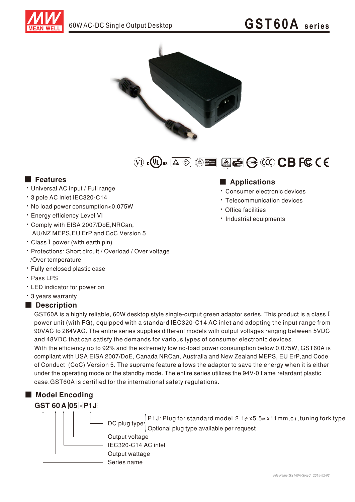



 $\textbf{(i)} \cdot \textbf{(ii)} \textbf{u} \quad \textbf{(iii)} \quad \textbf{(iv)} \quad \textbf{(iv)} \quad \textbf{(iv)} \quad \textbf{(v)} \quad \textbf{(v)} \quad \textbf{(v)} \quad \textbf{(v)} \quad \textbf{(v)} \quad \textbf{(v)} \quad \textbf{(v)} \quad \textbf{(v)} \quad \textbf{(v)} \quad \textbf{(v)} \quad \textbf{(v)} \quad \textbf{(v)} \quad \textbf{(v)} \quad \textbf{(v)} \quad \textbf{(v)} \quad \textbf{(v)} \quad \textbf{(v)} \quad \textbf{(v)} \quad \textbf{(v)} \quad \textbf{(v)} \quad \textbf{(v)}$ 

#### **Executer** Features

- · Universal AC input / Full range
- \* 3 pole AC inlet IEC320-C14
- . No load power consumption<0.075W
- · Energy efficiency Level VI
- \* Comply with EISA 2007/DoE, NRCan, AU/NZ MEPS.EU ErP and CoC Version 5
- Class I power (with earth pin)
- \* Protections: Short circuit / Overload / Over voltage /Over temperature
- · Fully enclosed plastic case
- · Pass LPS
- LED indicator for power on
- \* 3 years warranty

### Description

GST60A is a highly reliable, 60W desktop style single-output green adaptor series. This product is a class I power unit (with FG), equipped with a standard IEC320-C14 AC inlet and adopting the input range from 90VAC to 264VAC. The entire series supplies different models with output voltages ranging between 5VDC and 48VDC that can satisfy the demands for various types of consumer electronic devices. With the efficiency up to 92% and the extremely low no-load power consumption below 0.075W, GST60A is

compliant with USA EISA 2007/DoE, Canada NRCan, Australia and New Zealand MEPS, EU ErP, and Code of Conduct (CoC) Version 5. The supreme feature allows the adaptor to save the energy when it is either under the operating mode or the standby mode. The entire series utilizes the 94V-0 flame retardant plastic case. GST60A is certified for the international safety regulations.



P1J: Plug for standard model,  $2.1\psi$  x5.5 $\psi$  x11mm, c+, tuning fork type DC plug type Optional plug type available per request

Output voltage IEC320-C14 AC inlet Output wattage Series name

## Applications

- · Consumer electronic devices
- Telecommunication devices
- · Office facilities
- · Industrial equipments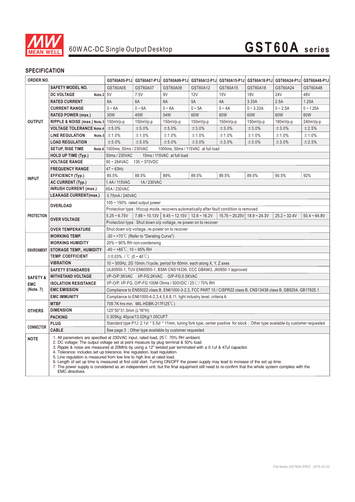

### **SPECIFICATION**

| ORDER NO.           |                                                                                                                                                                                                                                                                                                                                                                                                                                                                                                                                                                                                                                                                                                                                                                                 | GST60A05-P1J                                                                                                                                                                                                                                                                                                | GST60A07-P1J | GST60A09-P1J                                            |             | GST60A12-P1J GST60A15-P1J                   |             | GST60A18-P1J GST60A24-P1J GST60A48-P1J |                |
|---------------------|---------------------------------------------------------------------------------------------------------------------------------------------------------------------------------------------------------------------------------------------------------------------------------------------------------------------------------------------------------------------------------------------------------------------------------------------------------------------------------------------------------------------------------------------------------------------------------------------------------------------------------------------------------------------------------------------------------------------------------------------------------------------------------|-------------------------------------------------------------------------------------------------------------------------------------------------------------------------------------------------------------------------------------------------------------------------------------------------------------|--------------|---------------------------------------------------------|-------------|---------------------------------------------|-------------|----------------------------------------|----------------|
| <b>OUTPUT</b>       | <b>SAFETY MODEL NO.</b>                                                                                                                                                                                                                                                                                                                                                                                                                                                                                                                                                                                                                                                                                                                                                         | GST60A05                                                                                                                                                                                                                                                                                                    | GST60A07     | GST60A09                                                | GST60A12    | GST60A15                                    | GST60A18    | GST60A24                               | GST60A48       |
|                     | Note. $2 5V$<br><b>DC VOLTAGE</b>                                                                                                                                                                                                                                                                                                                                                                                                                                                                                                                                                                                                                                                                                                                                               |                                                                                                                                                                                                                                                                                                             | 7.5V         | 9V                                                      | 12V         | <b>15V</b>                                  | <b>18V</b>  | <b>24V</b>                             | 48V            |
|                     | <b>RATED CURRENT</b>                                                                                                                                                                                                                                                                                                                                                                                                                                                                                                                                                                                                                                                                                                                                                            | 6A                                                                                                                                                                                                                                                                                                          | 6A           | 6A                                                      | 5A          | 4A                                          | 3.33A       | 2.5A                                   | 1.25A          |
|                     | <b>CURRENT RANGE</b>                                                                                                                                                                                                                                                                                                                                                                                                                                                                                                                                                                                                                                                                                                                                                            | $0 - 6A$                                                                                                                                                                                                                                                                                                    | $0 - 6A$     | $0 - 6A$                                                | $0 \sim 5A$ | $0 - 4A$                                    | $0 - 3.33A$ | $0 - 2.5A$                             | $0 - 1.25A$    |
|                     | <b>RATED POWER (max.)</b>                                                                                                                                                                                                                                                                                                                                                                                                                                                                                                                                                                                                                                                                                                                                                       | 30W                                                                                                                                                                                                                                                                                                         | 45W          | 54W                                                     | 60W         | 60W                                         | 60W         | 60W                                    | 60W            |
|                     | RIPPLE & NOISE (max.) Note.3                                                                                                                                                                                                                                                                                                                                                                                                                                                                                                                                                                                                                                                                                                                                                    | 150mVp-p                                                                                                                                                                                                                                                                                                    | 150mVp-p     | 150mVp-p                                                | 150mVp-p    | $150mVp-p$                                  | $150mVp-p$  | $180mVp-p$                             | 240mVp-p       |
|                     | <b>VOLTAGE TOLERANCE Note.4</b>                                                                                                                                                                                                                                                                                                                                                                                                                                                                                                                                                                                                                                                                                                                                                 | ±5.0%                                                                                                                                                                                                                                                                                                       | ±5.0%        | ±5.0%                                                   | ±3.0%       | ±3.0%                                       | ±3.0%       | ±3.0%                                  | ±2.5%          |
|                     | <b>LINE REGULATION</b><br>Note.5                                                                                                                                                                                                                                                                                                                                                                                                                                                                                                                                                                                                                                                                                                                                                | ±1.0%                                                                                                                                                                                                                                                                                                       | ±1.0%        | ±1.0%                                                   | ±1.0%       | ±1.0%                                       | ±1.0%       | ±1.0%                                  | ±1.0%          |
|                     | <b>LOAD REGULATION</b>                                                                                                                                                                                                                                                                                                                                                                                                                                                                                                                                                                                                                                                                                                                                                          | ±5.0%                                                                                                                                                                                                                                                                                                       | ±5.0%        | ±5.0%                                                   | ±3.0%       | ±3.0%                                       | ±3.0%       | ±3.0%                                  | ±2.5%          |
|                     | SETUP, RISE TIME                                                                                                                                                                                                                                                                                                                                                                                                                                                                                                                                                                                                                                                                                                                                                                | Note.6 1000ms, 50ms / 230VAC                                                                                                                                                                                                                                                                                |              | 1000ms, 50ms / 115VAC at full load                      |             |                                             |             |                                        |                |
|                     | <b>HOLD UP TIME (Typ.)</b>                                                                                                                                                                                                                                                                                                                                                                                                                                                                                                                                                                                                                                                                                                                                                      | 50ms / 230VAC<br>15ms / 115VAC at full load                                                                                                                                                                                                                                                                 |              |                                                         |             |                                             |             |                                        |                |
|                     | <b>VOLTAGE RANGE</b>                                                                                                                                                                                                                                                                                                                                                                                                                                                                                                                                                                                                                                                                                                                                                            | $90 - 264$ VAC<br>$135 - 370$ VDC                                                                                                                                                                                                                                                                           |              |                                                         |             |                                             |             |                                        |                |
| <b>INPUT</b>        | <b>FREQUENCY RANGE</b>                                                                                                                                                                                                                                                                                                                                                                                                                                                                                                                                                                                                                                                                                                                                                          | $47 \sim 63$ Hz                                                                                                                                                                                                                                                                                             |              |                                                         |             |                                             |             |                                        |                |
|                     | <b>EFFICIENCY (Typ.)</b>                                                                                                                                                                                                                                                                                                                                                                                                                                                                                                                                                                                                                                                                                                                                                        | 85.5%                                                                                                                                                                                                                                                                                                       | 88.5%        | 89%                                                     | 89.5%       | 89.5%                                       | 89.5%       | 90.5%                                  | 92%            |
|                     | <b>AC CURRENT (Typ.)</b>                                                                                                                                                                                                                                                                                                                                                                                                                                                                                                                                                                                                                                                                                                                                                        | 1.4A/115VAC                                                                                                                                                                                                                                                                                                 | 1A/230VAC    |                                                         |             |                                             |             |                                        |                |
|                     | <b>INRUSH CURRENT (max.)</b>                                                                                                                                                                                                                                                                                                                                                                                                                                                                                                                                                                                                                                                                                                                                                    | 65A/230VAC                                                                                                                                                                                                                                                                                                  |              |                                                         |             |                                             |             |                                        |                |
|                     | <b>LEAKAGE CURRENT(max.)</b>                                                                                                                                                                                                                                                                                                                                                                                                                                                                                                                                                                                                                                                                                                                                                    | 0.75mA/240VAC                                                                                                                                                                                                                                                                                               |              |                                                         |             |                                             |             |                                        |                |
| <b>PROTECTION</b>   |                                                                                                                                                                                                                                                                                                                                                                                                                                                                                                                                                                                                                                                                                                                                                                                 | $105 \sim 150\%$ rated output power                                                                                                                                                                                                                                                                         |              |                                                         |             |                                             |             |                                        |                |
|                     | <b>OVERLOAD</b>                                                                                                                                                                                                                                                                                                                                                                                                                                                                                                                                                                                                                                                                                                                                                                 | Protection type : Hiccup mode, recovers automatically after fault condition is removed                                                                                                                                                                                                                      |              |                                                         |             |                                             |             |                                        |                |
|                     | <b>OVER VOLTAGE</b>                                                                                                                                                                                                                                                                                                                                                                                                                                                                                                                                                                                                                                                                                                                                                             | $5.25 - 6.75V$                                                                                                                                                                                                                                                                                              |              | $7.88 \sim 10.13V$   9.45 ~ 12.15V   12.6 ~ 16.2V       |             | $15.75 \approx 20.25V$ 18.9 $\approx 24.3V$ |             | $25.2 - 32.4V$                         | $50.4 - 64.8V$ |
|                     |                                                                                                                                                                                                                                                                                                                                                                                                                                                                                                                                                                                                                                                                                                                                                                                 | Protection type: Shut down o/p voltage, re-power on to recover                                                                                                                                                                                                                                              |              |                                                         |             |                                             |             |                                        |                |
|                     | <b>OVER TEMPERATURE</b>                                                                                                                                                                                                                                                                                                                                                                                                                                                                                                                                                                                                                                                                                                                                                         | Shut down o/p voltage, re-power on to recover                                                                                                                                                                                                                                                               |              |                                                         |             |                                             |             |                                        |                |
| <b>ENVIRONMENT</b>  | <b>WORKING TEMP.</b>                                                                                                                                                                                                                                                                                                                                                                                                                                                                                                                                                                                                                                                                                                                                                            | -30 $\sim$ +70 $\degree$ C (Refer to "Derating Curve")                                                                                                                                                                                                                                                      |              |                                                         |             |                                             |             |                                        |                |
|                     | <b>WORKING HUMIDITY</b>                                                                                                                                                                                                                                                                                                                                                                                                                                                                                                                                                                                                                                                                                                                                                         | 20% ~ 90% RH non-condensing                                                                                                                                                                                                                                                                                 |              |                                                         |             |                                             |             |                                        |                |
|                     | <b>STORAGE TEMP., HUMIDITY</b>                                                                                                                                                                                                                                                                                                                                                                                                                                                                                                                                                                                                                                                                                                                                                  | $-40 \sim +85^{\circ}$ C, 10 ~ 95% RH                                                                                                                                                                                                                                                                       |              |                                                         |             |                                             |             |                                        |                |
|                     | <b>TEMP. COEFFICIENT</b>                                                                                                                                                                                                                                                                                                                                                                                                                                                                                                                                                                                                                                                                                                                                                        | $\pm$ 0.03% / °C (0 ~ 40°C)                                                                                                                                                                                                                                                                                 |              |                                                         |             |                                             |             |                                        |                |
|                     | <b>VIBRATION</b>                                                                                                                                                                                                                                                                                                                                                                                                                                                                                                                                                                                                                                                                                                                                                                | 10 ~ 500Hz, 2G 10min./1cycle, period for 60min. each along X, Y, Z axes                                                                                                                                                                                                                                     |              |                                                         |             |                                             |             |                                        |                |
|                     | <b>SAFETY STANDARDS</b>                                                                                                                                                                                                                                                                                                                                                                                                                                                                                                                                                                                                                                                                                                                                                         | UL60950-1, TUV EN60950-1, BSMI CNS14336, CCC GB4943, J60950-1 approved                                                                                                                                                                                                                                      |              |                                                         |             |                                             |             |                                        |                |
| <b>SAFETY &amp;</b> | <b>WITHSTAND VOLTAGE</b>                                                                                                                                                                                                                                                                                                                                                                                                                                                                                                                                                                                                                                                                                                                                                        | I/P-O/P:3KVAC I/P-FG:2KVAC O/P-FG:0.5KVAC<br>I/P-O/P, I/P-FG, O/P-FG:100M Ohms / 500VDC / 25℃/ 70% RH<br>Compliance to EN55022 class B, EN61000-3-2,3, FCC PART 15 / CISPR22 class B, CNS13438 class B, GB9254, GB17625.1<br>Compliance to EN61000-4-2, 3, 4, 5, 6, 8, 11, light industry level, criteria A |              |                                                         |             |                                             |             |                                        |                |
| <b>EMC</b>          | <b>ISOLATION RESISTANCE</b>                                                                                                                                                                                                                                                                                                                                                                                                                                                                                                                                                                                                                                                                                                                                                     |                                                                                                                                                                                                                                                                                                             |              |                                                         |             |                                             |             |                                        |                |
| (Note. 7)           | <b>EMC EMISSION</b>                                                                                                                                                                                                                                                                                                                                                                                                                                                                                                                                                                                                                                                                                                                                                             |                                                                                                                                                                                                                                                                                                             |              |                                                         |             |                                             |             |                                        |                |
|                     | <b>EMC IMMUNITY</b>                                                                                                                                                                                                                                                                                                                                                                                                                                                                                                                                                                                                                                                                                                                                                             |                                                                                                                                                                                                                                                                                                             |              |                                                         |             |                                             |             |                                        |                |
| <b>OTHERS</b>       | <b>MTBF</b>                                                                                                                                                                                                                                                                                                                                                                                                                                                                                                                                                                                                                                                                                                                                                                     | 709.7K hrs min. MIL-HDBK-217F(25°C)                                                                                                                                                                                                                                                                         |              |                                                         |             |                                             |             |                                        |                |
|                     | <b>DIMENSION</b>                                                                                                                                                                                                                                                                                                                                                                                                                                                                                                                                                                                                                                                                                                                                                                | 125*50*31.5mm (L*W*H)                                                                                                                                                                                                                                                                                       |              |                                                         |             |                                             |             |                                        |                |
|                     | <b>PACKING</b>                                                                                                                                                                                                                                                                                                                                                                                                                                                                                                                                                                                                                                                                                                                                                                  | 0.305Kg; 40pcs/13.02Kg/1.05CUFT                                                                                                                                                                                                                                                                             |              |                                                         |             |                                             |             |                                        |                |
| <b>CONNECTOR</b>    | <b>PLUG</b>                                                                                                                                                                                                                                                                                                                                                                                                                                                                                                                                                                                                                                                                                                                                                                     | Standard type P1J: 2.1 $\psi$ * 5.5 $\psi$ * 11mm, tuning fork type, center positive for stock; Other type available by customer requested                                                                                                                                                                  |              |                                                         |             |                                             |             |                                        |                |
|                     | <b>CABLE</b>                                                                                                                                                                                                                                                                                                                                                                                                                                                                                                                                                                                                                                                                                                                                                                    |                                                                                                                                                                                                                                                                                                             |              | See page 3 ; Other type available by customer requested |             |                                             |             |                                        |                |
| <b>NOTE</b>         | 1. All parameters are specified at 230VAC input, rated load, 25 <sup>°</sup> C 70% RH ambient.<br>2. DC voltage: The output voltage set at point measure by plug terminal & 50% load.<br>3. Ripple & noise are measured at 20MHz by using a 12" twisted pair terminated with a 0.1uf & 47uf capacitor.<br>4. Tolerance: includes set up tolerance, line regulation, load regulation.<br>5. Line regulation is measured from low line to high line at rated load.<br>6. Length of set up time is measured at first cold start. Turning ON/OFF the power supply may lead to increase of the set up time.<br>7. The power supply is considered as an independent unit, but the final equipment still need to re-confirm that the whole system complies with the<br>EMC directives. |                                                                                                                                                                                                                                                                                                             |              |                                                         |             |                                             |             |                                        |                |